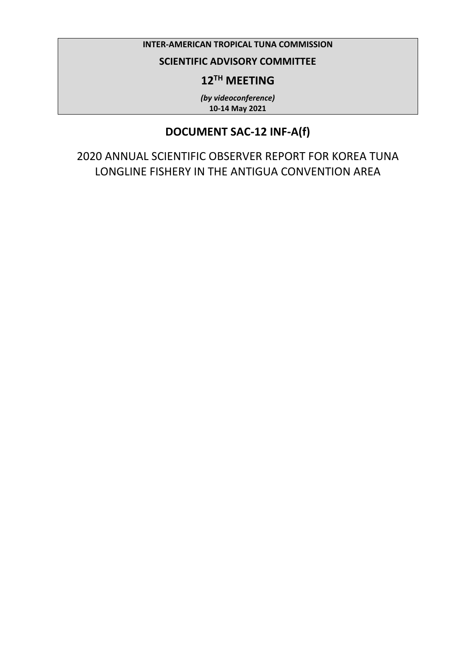### **INTER-AMERICAN TROPICAL TUNA COMMISSION**

### **SCIENTIFIC ADVISORY COMMITTEE**

## **12TH MEETING**

*(by videoconference)* **10-14 May 2021**

## **DOCUMENT SAC-12 INF-A(f)**

2020 ANNUAL SCIENTIFIC OBSERVER REPORT FOR KOREA TUNA LONGLINE FISHERY IN THE ANTIGUA CONVENTION AREA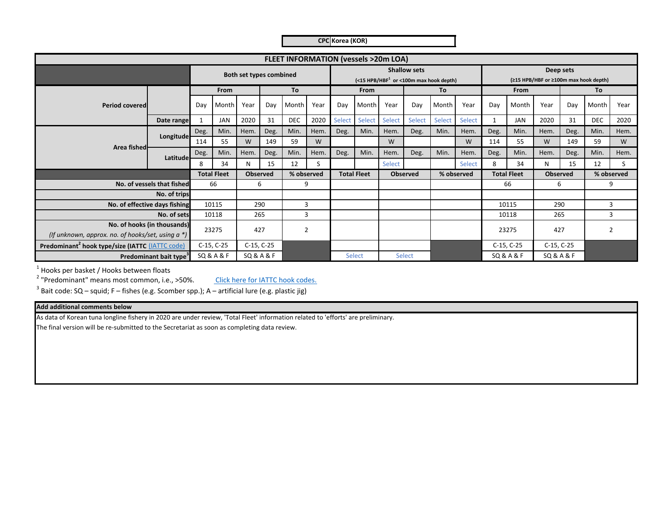**CPC Korea (KOR)**

|                                                             |                               |      |                    |                         |      |            |                |        | FLEET INFORMATION (vessels >20m LOA) |        |                                                                              |        |               |      |                           |                                       |           |            |                |
|-------------------------------------------------------------|-------------------------------|------|--------------------|-------------------------|------|------------|----------------|--------|--------------------------------------|--------|------------------------------------------------------------------------------|--------|---------------|------|---------------------------|---------------------------------------|-----------|------------|----------------|
|                                                             |                               |      |                    | Both set types combined |      |            |                |        |                                      |        | <b>Shallow sets</b><br>$(<$ 15 HPB/HBF <sup>1</sup> or <100m max hook depth) |        |               |      |                           | (≥15 HPB/HBF or ≥100m max hook depth) | Deep sets |            |                |
|                                                             |                               |      | From               |                         |      | To         |                |        | <b>From</b>                          |        |                                                                              | To     |               |      | From                      |                                       |           | To         |                |
| <b>Period covered</b>                                       |                               | Dav  | Month              | Year                    | Dav  | Month      | Year           | Day    | <b>Month</b>                         | Year   | Day                                                                          | Month  | Year          | Day  | Month                     | Year                                  | Day       | Month      | Year           |
|                                                             | Date range                    |      | <b>JAN</b>         | 2020                    | 31   | <b>DEC</b> | 2020           | Select | Select                               | Select | <b>Select</b>                                                                | Select | Select        | 1    | <b>JAN</b>                | 2020                                  | 31        | <b>DEC</b> | 2020           |
|                                                             |                               | Deg. | Min.               | Hem.                    | Deg. | Min.       | Hem.           | Deg.   | Min.                                 | Hem.   | Deg.                                                                         | Min.   | Hem.          | Deg. | Min.                      | Hem.                                  | Deg.      | Min.       | Hem.           |
|                                                             | Longitude                     | 114  | 55                 | W                       | 149  | 59         | W              |        |                                      | W      |                                                                              |        | W             | 114  | 55                        | W                                     | 149       | 59         | W              |
| Area fished                                                 | Latitude                      | Deg. | Min.               | Hem.                    | Deg. | Min.       | Hem.           | Deg.   | Min.                                 | Hem.   | Deg.                                                                         | Min.   | Hem.          | Deg. | Min.                      | Hem.                                  | Deg.      | Min.       | Hem.           |
|                                                             |                               | 8    | 34                 | N                       | 15   | 12         | S              |        |                                      | Select |                                                                              |        | <b>Select</b> | 8    | 34                        | N                                     | 15        | 12         | S.             |
|                                                             |                               |      | <b>Total Fleet</b> | <b>Observed</b>         |      |            | % observed     |        | <b>Total Fleet</b>                   |        | <b>Observed</b>                                                              |        | % observed    |      | <b>Total Fleet</b>        | <b>Observed</b>                       |           |            | % observed     |
|                                                             | No. of vessels that fished    |      | 66                 |                         | 6    | 9          |                |        |                                      |        |                                                                              |        |               |      | 66                        | 6                                     |           |            | 9              |
|                                                             | No. of trips                  |      |                    |                         |      |            |                |        |                                      |        |                                                                              |        |               |      |                           |                                       |           |            |                |
|                                                             | No. of effective days fishing |      | 10115              | 290                     |      | 3          |                |        |                                      |        |                                                                              |        |               |      | 10115                     | 290                                   |           |            | 3              |
|                                                             | No. of sets                   |      | 10118              | 265                     |      | 3          |                |        |                                      |        |                                                                              |        |               |      | 10118                     | 265                                   |           |            | 3              |
| (If unknown, approx. no. of hooks/set, using $a^*$ )        | No. of hooks (in thousands)   |      | 23275              | 427                     |      |            | $\overline{2}$ |        |                                      |        |                                                                              |        |               |      | 23275                     | 427                                   |           |            | $\overline{2}$ |
| Predominant <sup>2</sup> hook type/size (IATTC (IATTC code) |                               |      | C-15, C-25         | C-15, C-25              |      |            |                |        |                                      |        |                                                                              |        |               |      | C-15, C-25                | C-15, C-25                            |           |            |                |
| Predominant bait type <sup>3</sup>                          |                               |      | SQ & A & F         | SQ & A & F              |      |            |                |        | Select                               |        | Select                                                                       |        |               |      | <b>SQ &amp; A &amp; F</b> | <b>SQ &amp; A &amp; F</b>             |           |            |                |

 $<sup>1</sup>$  Hooks per basket / Hooks between floats</sup>

<sup>2</sup> "Predominant" means most common, i.e., >50%.

Click here for IATTC hook codes.

 $^3$  Bait code: SQ – squid; F – fishes (e.g. Scomber spp.); A – artificial lure (e.g. plastic jig)

#### **Add additional comments below**

As data of Korean tuna longline fishery in 2020 are under review, 'Total Fleet' information related to 'efforts' are preliminary.

The final version will be re‐submitted to the Secretariat as soon as completing data review.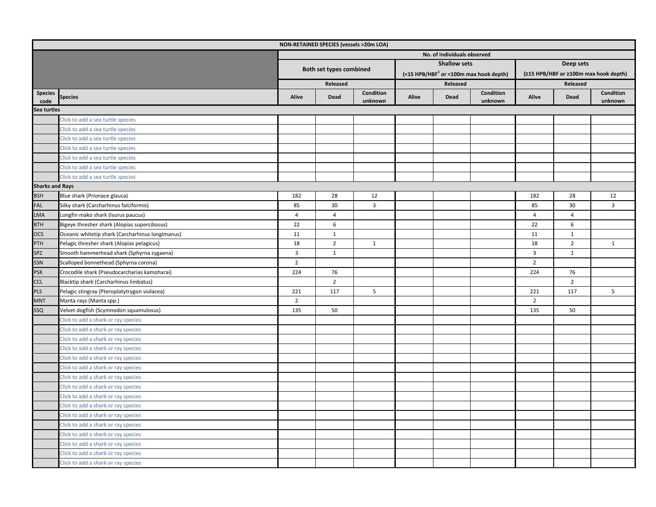|                        |                                                  |                             | NON-RETAINED SPECIES (vessels >20m LOA) |                |       |                     |                                                       |                |                |                                       |
|------------------------|--------------------------------------------------|-----------------------------|-----------------------------------------|----------------|-------|---------------------|-------------------------------------------------------|----------------|----------------|---------------------------------------|
|                        |                                                  | No. of individuals observed |                                         |                |       |                     |                                                       |                |                |                                       |
|                        |                                                  |                             |                                         |                |       | <b>Shallow sets</b> |                                                       |                | Deep sets      |                                       |
|                        |                                                  |                             | Both set types combined                 |                |       |                     | $(<$ 15 HPB/HBF <sup>1</sup> or <100m max hook depth) |                |                | (≥15 HPB/HBF or ≥100m max hook depth) |
|                        |                                                  |                             | Released                                |                |       | Released            |                                                       |                | Released       |                                       |
| <b>Species</b>         | <b>Species</b>                                   | Alive                       | Dead                                    | Condition      | Alive | Dead                | Condition                                             | Alive          | Dead           | Condition                             |
| code                   |                                                  |                             |                                         | unknown        |       |                     | unknown                                               |                |                | unknown                               |
| Sea turtles            |                                                  |                             |                                         |                |       |                     |                                                       |                |                |                                       |
|                        | Click to add a sea turtle species                |                             |                                         |                |       |                     |                                                       |                |                |                                       |
|                        | Click to add a sea turtle species                |                             |                                         |                |       |                     |                                                       |                |                |                                       |
|                        | Click to add a sea turtle species                |                             |                                         |                |       |                     |                                                       |                |                |                                       |
|                        | Click to add a sea turtle species                |                             |                                         |                |       |                     |                                                       |                |                |                                       |
|                        | Click to add a sea turtle species                |                             |                                         |                |       |                     |                                                       |                |                |                                       |
|                        | Click to add a sea turtle species                |                             |                                         |                |       |                     |                                                       |                |                |                                       |
|                        | Click to add a sea turtle species                |                             |                                         |                |       |                     |                                                       |                |                |                                       |
| <b>Sharks and Rays</b> |                                                  |                             |                                         |                |       |                     |                                                       |                |                |                                       |
| <b>BSH</b>             | Blue shark (Prionace glauca)                     | 182                         | 28                                      | 12             |       |                     |                                                       | 182            | 28             | 12                                    |
| <b>FAL</b>             | Silky shark (Carcharhinus falciformis)           | 85                          | 30                                      | $\overline{3}$ |       |                     |                                                       | 85             | 30             | $\overline{3}$                        |
| <b>LMA</b>             | Longfin mako shark (Isurus paucus)               | 4                           | 4                                       |                |       |                     |                                                       | 4              | $\overline{4}$ |                                       |
| <b>BTH</b>             | Bigeye thresher shark (Alopias superciliosus)    | 22                          | 6                                       |                |       |                     |                                                       | 22             | 6              |                                       |
| $\overline{ocs}$       | Oceanic whitetip shark (Carcharhinus longimanus) | 11                          | $\mathbf{1}$                            |                |       |                     |                                                       | 11             | 1              |                                       |
| PTH                    | Pelagic thresher shark (Alopias pelagicus)       | 18                          | $\overline{2}$                          | $\mathbf{1}$   |       |                     |                                                       | 18             | $\overline{2}$ | $\mathbf{1}$                          |
| SPZ                    | Smooth hammerhead shark (Sphyrna zygaena)        | $\overline{3}$              | $\mathbf{1}$                            |                |       |                     |                                                       | $\overline{3}$ | 1              |                                       |
| <b>SSN</b>             | Scalloped bonnethead (Sphyrna corona)            | $\overline{2}$              |                                         |                |       |                     |                                                       | $\overline{2}$ |                |                                       |
| <b>PSK</b>             | Crocodile shark (Pseudocarcharias kamoharai)     | 224                         | 76                                      |                |       |                     |                                                       | 224            | 76             |                                       |
| <b>CCL</b>             | Blacktip shark (Carcharhinus limbatus)           |                             | $\overline{2}$                          |                |       |                     |                                                       |                | $\overline{2}$ |                                       |
| <b>PLS</b>             | Pelagic stingray (Pteroplatytrygon violacea)     | 221                         | 117                                     | 5              |       |                     |                                                       | 221            | 117            | 5                                     |
| <b>MNT</b>             | Manta rays (Manta spp.)                          | $\overline{2}$              |                                         |                |       |                     |                                                       | $\overline{2}$ |                |                                       |
| SSQ                    | Velvet dogfish (Scymnodon squamulosus)           | 135                         | 50                                      |                |       |                     |                                                       | 135            | 50             |                                       |
|                        | Click to add a shark or ray species              |                             |                                         |                |       |                     |                                                       |                |                |                                       |
|                        | Click to add a shark or ray species              |                             |                                         |                |       |                     |                                                       |                |                |                                       |
|                        | Click to add a shark or ray species              |                             |                                         |                |       |                     |                                                       |                |                |                                       |
|                        | Click to add a shark or ray species              |                             |                                         |                |       |                     |                                                       |                |                |                                       |
|                        | Click to add a shark or ray species              |                             |                                         |                |       |                     |                                                       |                |                |                                       |
|                        | Click to add a shark or ray species              |                             |                                         |                |       |                     |                                                       |                |                |                                       |
|                        | Click to add a shark or ray species              |                             |                                         |                |       |                     |                                                       |                |                |                                       |
|                        | Click to add a shark or ray species              |                             |                                         |                |       |                     |                                                       |                |                |                                       |
|                        | Click to add a shark or ray species              |                             |                                         |                |       |                     |                                                       |                |                |                                       |
|                        | Click to add a shark or ray species              |                             |                                         |                |       |                     |                                                       |                |                |                                       |
|                        | Click to add a shark or ray species              |                             |                                         |                |       |                     |                                                       |                |                |                                       |
|                        | Click to add a shark or ray species              |                             |                                         |                |       |                     |                                                       |                |                |                                       |
|                        | Click to add a shark or ray species              |                             |                                         |                |       |                     |                                                       |                |                |                                       |
|                        | Click to add a shark or ray species              |                             |                                         |                |       |                     |                                                       |                |                |                                       |
|                        | Click to add a shark or ray species              |                             |                                         |                |       |                     |                                                       |                |                |                                       |
|                        | Click to add a shark or ray species              |                             |                                         |                |       |                     |                                                       |                |                |                                       |
|                        |                                                  |                             |                                         |                |       |                     |                                                       |                |                |                                       |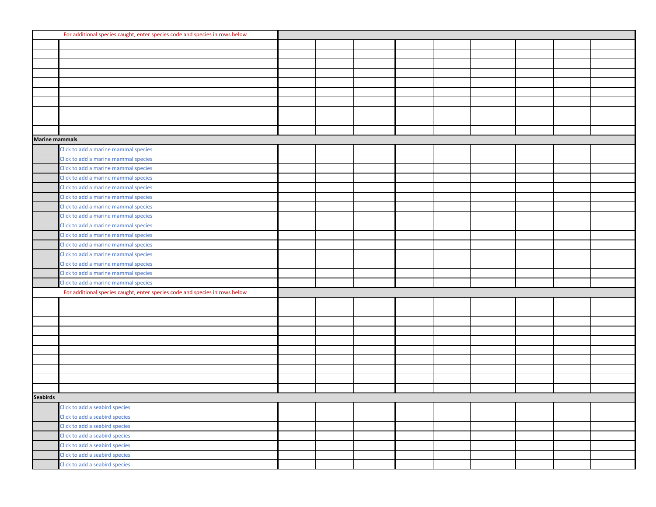|                       | For additional species caught, enter species code and species in rows below |  |  |  |  |  |
|-----------------------|-----------------------------------------------------------------------------|--|--|--|--|--|
|                       |                                                                             |  |  |  |  |  |
|                       |                                                                             |  |  |  |  |  |
|                       |                                                                             |  |  |  |  |  |
|                       |                                                                             |  |  |  |  |  |
|                       |                                                                             |  |  |  |  |  |
|                       |                                                                             |  |  |  |  |  |
|                       |                                                                             |  |  |  |  |  |
|                       |                                                                             |  |  |  |  |  |
|                       |                                                                             |  |  |  |  |  |
|                       |                                                                             |  |  |  |  |  |
| <b>Marine mammals</b> |                                                                             |  |  |  |  |  |
|                       | Click to add a marine mammal species                                        |  |  |  |  |  |
|                       | Click to add a marine mammal species                                        |  |  |  |  |  |
|                       | Click to add a marine mammal species                                        |  |  |  |  |  |
|                       | Click to add a marine mammal species                                        |  |  |  |  |  |
|                       | Click to add a marine mammal species                                        |  |  |  |  |  |
|                       | Click to add a marine mammal species                                        |  |  |  |  |  |
|                       | Click to add a marine mammal species                                        |  |  |  |  |  |
|                       | Click to add a marine mammal species                                        |  |  |  |  |  |
|                       | Click to add a marine mammal species                                        |  |  |  |  |  |
|                       | Click to add a marine mammal species                                        |  |  |  |  |  |
|                       | Click to add a marine mammal species                                        |  |  |  |  |  |
|                       | Click to add a marine mammal species                                        |  |  |  |  |  |
|                       | Click to add a marine mammal species                                        |  |  |  |  |  |
|                       | Click to add a marine mammal species                                        |  |  |  |  |  |
|                       | Click to add a marine mammal species                                        |  |  |  |  |  |
|                       | For additional species caught, enter species code and species in rows below |  |  |  |  |  |
|                       |                                                                             |  |  |  |  |  |
|                       |                                                                             |  |  |  |  |  |
|                       |                                                                             |  |  |  |  |  |
|                       |                                                                             |  |  |  |  |  |
|                       |                                                                             |  |  |  |  |  |
|                       |                                                                             |  |  |  |  |  |
|                       |                                                                             |  |  |  |  |  |
|                       |                                                                             |  |  |  |  |  |
|                       |                                                                             |  |  |  |  |  |
|                       |                                                                             |  |  |  |  |  |
| <b>Seabirds</b>       |                                                                             |  |  |  |  |  |
|                       | Click to add a seabird species                                              |  |  |  |  |  |
|                       | Click to add a seabird species                                              |  |  |  |  |  |
|                       | Click to add a seabird species                                              |  |  |  |  |  |
|                       | Click to add a seabird species                                              |  |  |  |  |  |
|                       | Click to add a seabird species                                              |  |  |  |  |  |
|                       | Click to add a seabird species                                              |  |  |  |  |  |
|                       | Click to add a seabird species                                              |  |  |  |  |  |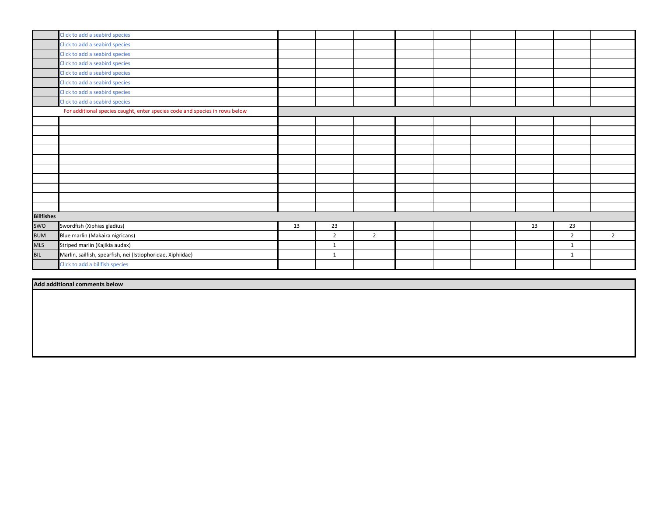|                   | Click to add a seabird species                                              |    |                |                |  |    |                |                |
|-------------------|-----------------------------------------------------------------------------|----|----------------|----------------|--|----|----------------|----------------|
|                   | Click to add a seabird species                                              |    |                |                |  |    |                |                |
|                   | Click to add a seabird species                                              |    |                |                |  |    |                |                |
|                   | Click to add a seabird species                                              |    |                |                |  |    |                |                |
|                   | Click to add a seabird species                                              |    |                |                |  |    |                |                |
|                   | Click to add a seabird species                                              |    |                |                |  |    |                |                |
|                   | Click to add a seabird species                                              |    |                |                |  |    |                |                |
|                   | Click to add a seabird species                                              |    |                |                |  |    |                |                |
|                   | For additional species caught, enter species code and species in rows below |    |                |                |  |    |                |                |
|                   |                                                                             |    |                |                |  |    |                |                |
|                   |                                                                             |    |                |                |  |    |                |                |
|                   |                                                                             |    |                |                |  |    |                |                |
|                   |                                                                             |    |                |                |  |    |                |                |
|                   |                                                                             |    |                |                |  |    |                |                |
|                   |                                                                             |    |                |                |  |    |                |                |
|                   |                                                                             |    |                |                |  |    |                |                |
|                   |                                                                             |    |                |                |  |    |                |                |
|                   |                                                                             |    |                |                |  |    |                |                |
|                   |                                                                             |    |                |                |  |    |                |                |
| <b>Billfishes</b> |                                                                             |    |                |                |  |    |                |                |
| swo               | Swordfish (Xiphias gladius)                                                 | 13 | 23             |                |  | 13 | 23             |                |
| <b>BUM</b>        | Blue marlin (Makaira nigricans)                                             |    | $\overline{2}$ | $\overline{2}$ |  |    | $\overline{2}$ | $\overline{2}$ |
| <b>MLS</b>        | Striped marlin (Kajikia audax)                                              |    | $\mathbf{1}$   |                |  |    | $\mathbf{1}$   |                |
| <b>BIL</b>        | Marlin, sailfish, spearfish, nei (Istiophoridae, Xiphiidae)                 |    | $\mathbf{1}$   |                |  |    | $\mathbf{1}$   |                |
|                   | Click to add a billfish species                                             |    |                |                |  |    |                |                |

**Add additional comments below**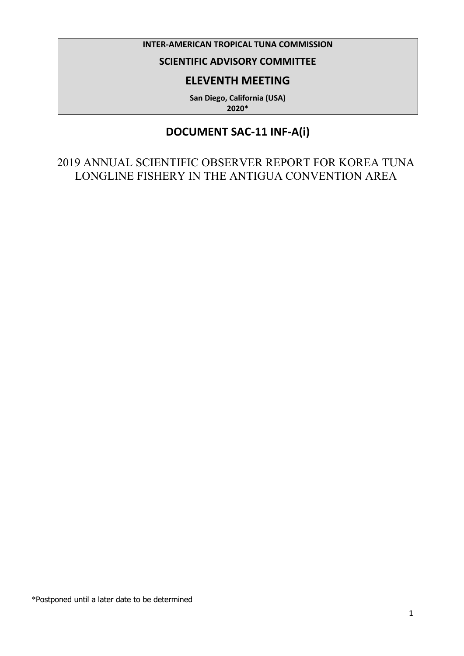#### **INTER-AMERICAN TROPICAL TUNA COMMISSION**

## **SCIENTIFIC ADVISORY COMMITTEE**

### **ELEVENTH MEETING**

**San Diego, California (USA) 2020\***

## **DOCUMENT SAC-11 INF-A(i)**

2019 ANNUAL SCIENTIFIC OBSERVER REPORT FOR KOREA TUNA LONGLINE FISHERY IN THE ANTIGUA CONVENTION AREA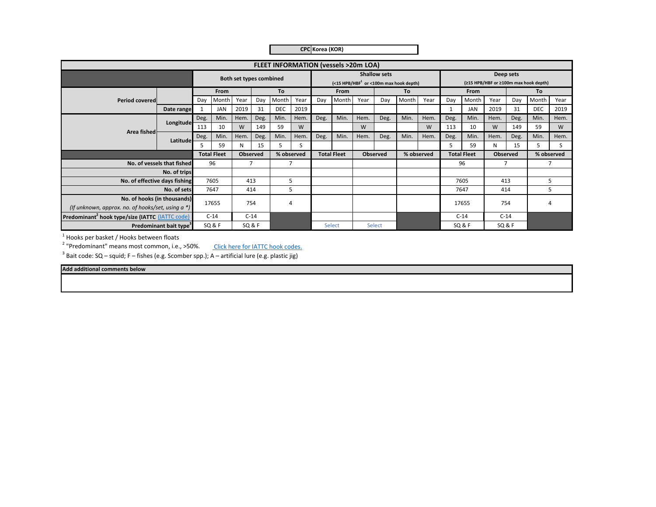|  | CPC Korea (KOR) |  |
|--|-----------------|--|
|--|-----------------|--|

|                                                             |                            |      |                    |                         |      |            |      |      | <b>FLEET INFORMATION (vessels &gt;20m LOA)</b> |      |                     |                                                       |            |      |                    |      |                 |                                       |            |
|-------------------------------------------------------------|----------------------------|------|--------------------|-------------------------|------|------------|------|------|------------------------------------------------|------|---------------------|-------------------------------------------------------|------------|------|--------------------|------|-----------------|---------------------------------------|------------|
|                                                             |                            |      |                    | Both set types combined |      |            |      |      |                                                |      | <b>Shallow sets</b> | $(<$ 15 HPB/HBF <sup>1</sup> or <100m max hook depth) |            |      |                    |      | Deep sets       | (≥15 HPB/HBF or ≥100m max hook depth) |            |
|                                                             |                            |      | <b>From</b>        |                         |      | <b>To</b>  |      |      | <b>From</b>                                    |      |                     | To                                                    |            |      | <b>From</b>        |      |                 | To                                    |            |
| <b>Period covered</b>                                       |                            | Day  | Month              | Year                    | Day  | Month      | Year | Day  | Month                                          | Year | Day                 | Month                                                 | Year       | Day  | Month              | Year | Day             | Month                                 | Year       |
|                                                             | Date range                 |      | <b>JAN</b>         | 2019                    | 31   | <b>DEC</b> | 2019 |      |                                                |      |                     |                                                       |            |      | <b>JAN</b>         | 2019 | 31              | <b>DEC</b>                            | 2019       |
|                                                             | Longitude                  | Deg. | Min.               | Hem.                    | Deg. | Min.       | Hem. | Deg. | Min.                                           | Hem. | Deg.                | Min.                                                  | Hem.       | Deg. | Min.               | Hem. | Deg.            | Min.                                  | Hem.       |
| Area fished                                                 |                            | 113  | 10                 | W                       | 149  | 59         | W    |      |                                                | W    |                     |                                                       | W          | 113  | 10                 | W    | 149             | 59                                    | W          |
|                                                             |                            | Deg. | Min.               | Hem.                    | Deg. | Min.       | Hem. | Deg. | Min.                                           | Hem. | Deg.                | Min.                                                  | Hem.       | Deg. | Min.               | Hem. | Deg.            | Min.                                  | Hem.       |
|                                                             | Latitude                   | 5    | 59                 | N                       | 15   | 5          | S    |      |                                                |      |                     |                                                       |            | 5.   | 59                 | N    | 15              | 5                                     | S.         |
|                                                             |                            |      | <b>Total Fleet</b> | <b>Observed</b>         |      | % observed |      |      | <b>Total Fleet</b>                             |      | <b>Observed</b>     |                                                       | % observed |      | <b>Total Fleet</b> |      | <b>Observed</b> |                                       | % observed |
|                                                             | No. of vessels that fished |      | 96                 | 7                       |      | 7          |      |      |                                                |      |                     |                                                       |            |      | 96                 |      |                 |                                       |            |
|                                                             | No. of trips               |      |                    |                         |      |            |      |      |                                                |      |                     |                                                       |            |      |                    |      |                 |                                       |            |
| No. of effective days fishing                               |                            |      | 7605               | 413                     |      | 5          |      |      |                                                |      |                     |                                                       |            |      | 7605               | 413  |                 |                                       | 5          |
|                                                             | No. of sets                |      | 7647               | 414                     |      | 5          |      |      |                                                |      |                     |                                                       |            |      | 7647               |      | 414             |                                       | 5          |
| No. of hooks (in thousands)                                 |                            |      | 17655              | 754                     |      | 4          |      |      |                                                |      |                     |                                                       |            |      | 17655              | 754  |                 |                                       |            |
| (If unknown, approx. no. of hooks/set, using $a^*$ )        |                            |      |                    |                         |      |            |      |      |                                                |      |                     |                                                       |            |      |                    |      |                 |                                       |            |
| Predominant <sup>2</sup> hook type/size (IATTC (IATTC code) |                            |      | $C-14$             | $C-14$                  |      |            |      |      |                                                |      |                     |                                                       |            |      | $C-14$             |      | $C-14$          |                                       |            |
| Predominant bait type <sup>3</sup>                          |                            |      | SQ&F               | <b>SQ &amp; F</b>       |      |            |      |      | Select                                         |      | <b>Select</b>       |                                                       |            |      | SQ&F               |      | SQ&F            |                                       |            |

 $<sup>1</sup>$  Hooks per basket / Hooks between floats</sup>

2 "Predominant" means most common, i.e., >50%. Click here for IATTC hook codes.

 $3$  Bait code: SQ – squid; F – fishes (e.g. Scomber spp.); A – artificial lure (e.g. plastic jig)

**Add additional comments below**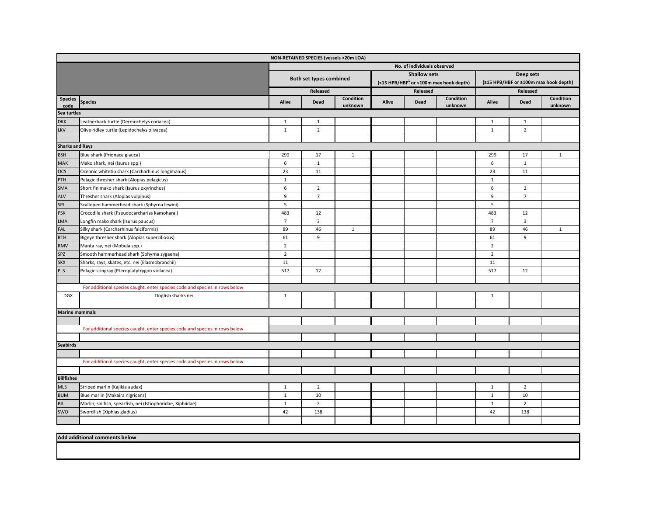|                        |                                                                             |                |                         | NON-RETAINED SPECIES (vessels >20m LOA) |       |                             |                                            |                |                |                                       |
|------------------------|-----------------------------------------------------------------------------|----------------|-------------------------|-----------------------------------------|-------|-----------------------------|--------------------------------------------|----------------|----------------|---------------------------------------|
|                        |                                                                             |                |                         |                                         |       | No. of individuals observed |                                            |                |                |                                       |
|                        |                                                                             |                |                         |                                         |       | <b>Shallow sets</b>         |                                            |                | Deep sets      |                                       |
|                        |                                                                             |                | Both set types combined |                                         |       |                             | (<15 HPB/HBF $^1$ or <100m max hook depth) |                |                | (≥15 HPB/HBF or ≥100m max hook depth) |
|                        |                                                                             |                | Released                |                                         |       | Released                    |                                            |                | Released       |                                       |
| <b>Species</b><br>code | <b>Species</b>                                                              | Alive          | Dead                    | Condition<br>unknown                    | Alive | Dead                        | Condition<br>unknown                       | Alive          | Dead           | Condition<br>unknown                  |
| Sea turtles            |                                                                             |                |                         |                                         |       |                             |                                            |                |                |                                       |
| <b>DKK</b>             | Leatherback turtle (Dermochelys coriacea)                                   | $\mathbf{1}$   | $\mathbf{1}$            |                                         |       |                             |                                            | $\mathbf{1}$   | $\mathbf{1}$   |                                       |
| LKV                    | Olive ridley turtle (Lepidochelys olivacea)                                 | $\mathbf{1}$   | $\overline{2}$          |                                         |       |                             |                                            | $\mathbf{1}$   | $\overline{2}$ |                                       |
|                        |                                                                             |                |                         |                                         |       |                             |                                            |                |                |                                       |
| <b>Sharks and Rays</b> |                                                                             |                |                         |                                         |       |                             |                                            |                |                |                                       |
| <b>BSH</b>             | Blue shark (Prionace glauca)                                                | 299            | 17                      | $\mathbf{1}$                            |       |                             |                                            | 299            | 17             | $\mathbf{1}$                          |
| MAK                    | Mako shark, nei (Isurus spp.)                                               | 6              | $\mathbf{1}$            |                                         |       |                             |                                            | 6              | $\mathbf{1}$   |                                       |
| <b>OCS</b>             | Oceanic whitetip shark (Carcharhinus longimanus)                            | 23             | 11                      |                                         |       |                             |                                            | 23             | 11             |                                       |
| PTH                    | Pelagic thresher shark (Alopias pelagicus)                                  | $\mathbf{1}$   |                         |                                         |       |                             |                                            | $\mathbf{1}$   |                |                                       |
| <b>SMA</b>             | Short fin mako shark (Isurus oxyrinchus)                                    | 6              | $\overline{2}$          |                                         |       |                             |                                            | 6              | $\overline{2}$ |                                       |
| <b>ALV</b>             | Thresher shark (Alopias vulpinus)                                           | 9              | $\overline{7}$          |                                         |       |                             |                                            | 9              | $\overline{7}$ |                                       |
| SPL                    | Scalloped hammerhead shark (Sphyrna lewini)                                 | 5              |                         |                                         |       |                             |                                            | 5              |                |                                       |
| <b>PSK</b>             | Crocodile shark (Pseudocarcharias kamoharai)                                | 483            | 12                      |                                         |       |                             |                                            | 483            | 12             |                                       |
| LMA                    | Longfin mako shark (Isurus paucus)                                          | $\overline{7}$ | $\overline{3}$          |                                         |       |                             |                                            | $\overline{7}$ | $\overline{3}$ |                                       |
| FAL                    | Silky shark (Carcharhinus falciformis)                                      | 89             | 46                      | $\mathbf{1}$                            |       |                             |                                            | 89             | 46             | $\mathbf{1}$                          |
| <b>BTH</b>             | Bigeye thresher shark (Alopias superciliosus)                               | 61             | 9                       |                                         |       |                             |                                            | 61             | 9              |                                       |
| <b>RMV</b>             | Manta ray, nei (Mobula spp.)                                                | $\overline{2}$ |                         |                                         |       |                             |                                            | $\overline{2}$ |                |                                       |
| SPZ                    | Smooth hammerhead shark (Sphyrna zygaena)                                   | $\overline{2}$ |                         |                                         |       |                             |                                            | $\overline{2}$ |                |                                       |
| <b>SKX</b>             | Sharks, rays, skates, etc. nei (Elasmobranchii)                             | 11             |                         |                                         |       |                             |                                            | 11             |                |                                       |
| <b>PLS</b>             | Pelagic stingray (Pteroplatytrygon violacea)                                | 517            | 12                      |                                         |       |                             |                                            | 517            | 12             |                                       |
|                        |                                                                             |                |                         |                                         |       |                             |                                            |                |                |                                       |
|                        | For additional species caught, enter species code and species in rows below |                |                         |                                         |       |                             |                                            |                |                |                                       |
| <b>DGX</b>             | Dogfish sharks nei                                                          | $\mathbf{1}$   |                         |                                         |       |                             |                                            | $\mathbf{1}$   |                |                                       |
|                        |                                                                             |                |                         |                                         |       |                             |                                            |                |                |                                       |
| <b>Marine mammals</b>  |                                                                             |                |                         |                                         |       |                             |                                            |                |                |                                       |
|                        |                                                                             |                |                         |                                         |       |                             |                                            |                |                |                                       |
|                        | For additional species caught, enter species code and species in rows below |                |                         |                                         |       |                             |                                            |                |                |                                       |
|                        |                                                                             |                |                         |                                         |       |                             |                                            |                |                |                                       |
| <b>Seabirds</b>        |                                                                             |                |                         |                                         |       |                             |                                            |                |                |                                       |
|                        |                                                                             |                |                         |                                         |       |                             |                                            |                |                |                                       |
|                        | For additional species caught, enter species code and species in rows below |                |                         |                                         |       |                             |                                            |                |                |                                       |
|                        |                                                                             |                |                         |                                         |       |                             |                                            |                |                |                                       |
| <b>Billfishes</b>      |                                                                             |                |                         |                                         |       |                             |                                            |                |                |                                       |
| <b>MLS</b>             | Striped marlin (Kajikia audax)                                              | $\mathbf{1}$   | $\overline{2}$          |                                         |       |                             |                                            | $\mathbf{1}$   | $\overline{2}$ |                                       |
| <b>BUM</b>             | Blue marlin (Makaira nigricans)                                             | $\mathbf{1}$   | 10                      |                                         |       |                             |                                            | $\mathbf{1}$   | 10             |                                       |
| <b>BIL</b>             | Marlin, sailfish, spearfish, nei (Istiophoridae, Xiphiidae)                 | $\mathbf{1}$   | $\overline{2}$          |                                         |       |                             |                                            | $\mathbf{1}$   | $\overline{2}$ |                                       |
| SWO                    | Swordfish (Xiphias gladius)                                                 | 42             | 138                     |                                         |       |                             |                                            | 42             | 138            |                                       |
|                        |                                                                             |                |                         |                                         |       |                             |                                            |                |                |                                       |

**Add additional comments below**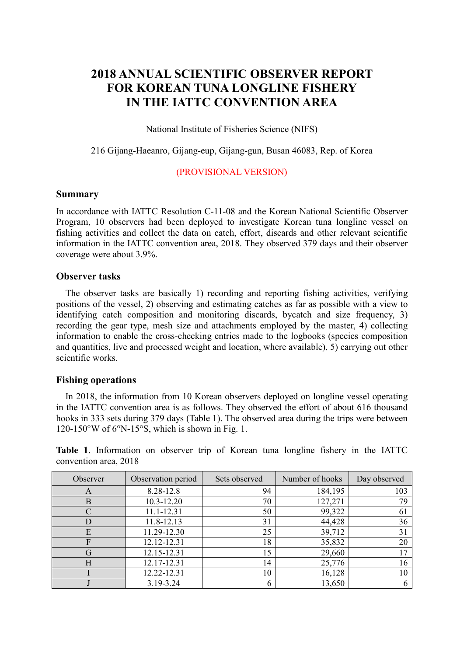## **2018 ANNUAL SCIENTIFIC OBSERVER REPORT FOR KOREAN TUNA LONGLINE FISHERY IN THE IATTC CONVENTION AREA**

National Institute of Fisheries Science (NIFS)

#### 216 Gijang-Haeanro, Gijang-eup, Gijang-gun, Busan 46083, Rep. of Korea

#### (PROVISIONAL VERSION)

#### **Summary**

In accordance with IATTC Resolution C-11-08 and the Korean National Scientific Observer Program, 10 observers had been deployed to investigate Korean tuna longline vessel on fishing activities and collect the data on catch, effort, discards and other relevant scientific information in the IATTC convention area, 2018. They observed 379 days and their observer coverage were about 3.9%.

#### **Observer tasks**

The observer tasks are basically 1) recording and reporting fishing activities, verifying positions of the vessel, 2) observing and estimating catches as far as possible with a view to identifying catch composition and monitoring discards, bycatch and size frequency, 3) recording the gear type, mesh size and attachments employed by the master, 4) collecting information to enable the cross-checking entries made to the logbooks (species composition and quantities, live and processed weight and location, where available), 5) carrying out other scientific works.

#### **Fishing operations**

In 2018, the information from 10 Korean observers deployed on longline vessel operating in the IATTC convention area is as follows. They observed the effort of about 616 thousand hooks in 333 sets during 379 days (Table 1). The observed area during the trips were between  $120-150\text{°W}$  of 6 $\text{°N-15}$ °S, which is shown in Fig. 1.

**Table 1**. Information on observer trip of Korean tuna longline fishery in the IATTC convention area, 2018

| Observer | Observation period | Sets observed | Number of hooks | Day observed |
|----------|--------------------|---------------|-----------------|--------------|
| A        | 8.28-12.8          | 94            | 184,195         | 103          |
| B        | 10.3-12.20         | 70            | 127,271         | 79           |
|          | 11.1-12.31         | 50            | 99,322          | 61           |
|          | 11.8-12.13         | 31            | 44,428          | 36           |
| E        | 11.29-12.30        | 25            | 39,712          | 31           |
| F        | 12.12-12.31        | 18            | 35,832          | 20           |
| G        | 12.15-12.31        | 15            | 29,660          | 17           |
| H        | 12.17-12.31        | 14            | 25,776          | 16           |
|          | 12.22-12.31        | 10            | 16,128          | 10           |
|          | 3.19-3.24          | 6             | 13,650          | 6            |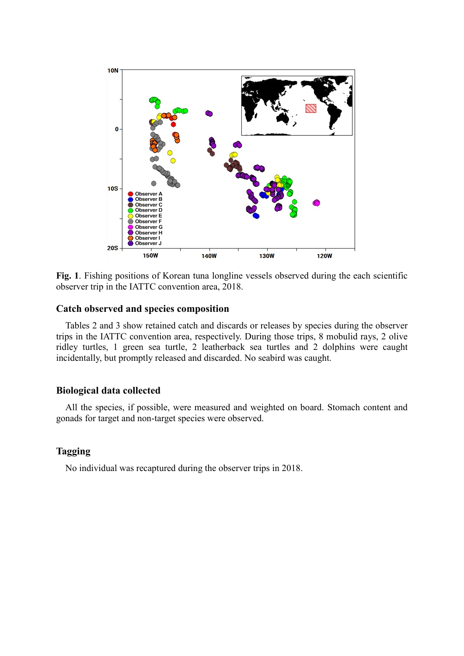

**Fig. 1**. Fishing positions of Korean tuna longline vessels observed during the each scientific observer trip in the IATTC convention area, 2018.

#### **Catch observed and species composition**

Tables 2 and 3 show retained catch and discards or releases by species during the observer trips in the IATTC convention area, respectively. During those trips, 8 mobulid rays, 2 olive ridley turtles, 1 green sea turtle, 2 leatherback sea turtles and 2 dolphins were caught incidentally, but promptly released and discarded. No seabird was caught.

#### **Biological data collected**

All the species, if possible, were measured and weighted on board. Stomach content and gonads for target and non-target species were observed.

#### **Tagging**

No individual was recaptured during the observer trips in 2018.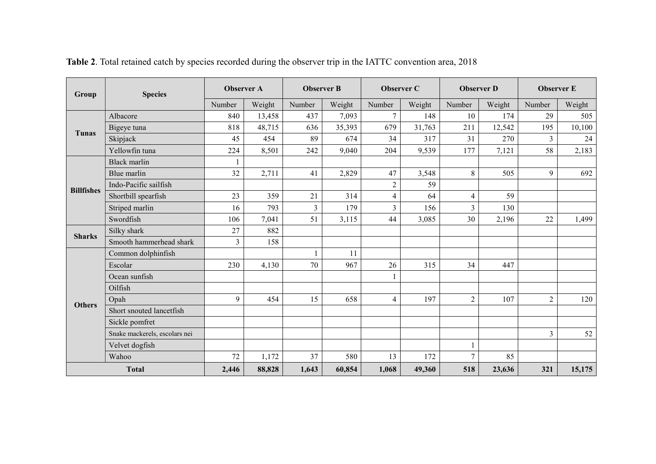| Group             | <b>Species</b>                | <b>Observer A</b> |        | <b>Observer B</b> |        | <b>Observer C</b> |        | <b>Observer D</b> |        | <b>Observer E</b> |        |
|-------------------|-------------------------------|-------------------|--------|-------------------|--------|-------------------|--------|-------------------|--------|-------------------|--------|
|                   |                               | Number            | Weight | Number            | Weight | Number            | Weight | Number            | Weight | Number            | Weight |
|                   | Albacore                      | 840               | 13,458 | 437               | 7,093  | $\overline{7}$    | 148    | 10                | 174    | 29                | 505    |
| Tunas             | Bigeye tuna                   | 818               | 48,715 | 636               | 35,393 | 679               | 31,763 | 211               | 12,542 | 195               | 10,100 |
|                   | Skipjack                      | 45                | 454    | 89                | 674    | 34                | 317    | 31                | 270    | 3                 | 24     |
|                   | Yellowfin tuna                | 224               | 8,501  | 242               | 9,040  | 204               | 9,539  | 177               | 7,121  | 58                | 2,183  |
|                   | <b>Black marlin</b>           |                   |        |                   |        |                   |        |                   |        |                   |        |
|                   | Blue marlin                   | 32                | 2,711  | 41                | 2,829  | 47                | 3,548  | 8                 | 505    | 9                 | 692    |
| <b>Billfishes</b> | Indo-Pacific sailfish         |                   |        |                   |        | $\overline{2}$    | 59     |                   |        |                   |        |
|                   | Shortbill spearfish           | 23                | 359    | 21                | 314    | $\overline{4}$    | 64     | $\overline{4}$    | 59     |                   |        |
|                   | Striped marlin                | 16                | 793    | $\overline{3}$    | 179    | $\overline{3}$    | 156    | $\overline{3}$    | 130    |                   |        |
|                   | Swordfish                     | 106               | 7,041  | 51                | 3,115  | 44                | 3,085  | 30                | 2,196  | 22                | 1,499  |
| <b>Sharks</b>     | Silky shark                   | 27                | 882    |                   |        |                   |        |                   |        |                   |        |
|                   | Smooth hammerhead shark       | $\overline{3}$    | 158    |                   |        |                   |        |                   |        |                   |        |
|                   | Common dolphinfish            |                   |        |                   | 11     |                   |        |                   |        |                   |        |
|                   | Escolar                       | 230               | 4,130  | 70                | 967    | 26                | 315    | 34                | 447    |                   |        |
|                   | Ocean sunfish                 |                   |        |                   |        | $\mathbf{1}$      |        |                   |        |                   |        |
|                   | Oilfish                       |                   |        |                   |        |                   |        |                   |        |                   |        |
| <b>Others</b>     | Opah                          | 9                 | 454    | 15                | 658    | 4                 | 197    | $\overline{2}$    | 107    | $\overline{2}$    | 120    |
|                   | Short snouted lancetfish      |                   |        |                   |        |                   |        |                   |        |                   |        |
|                   | Sickle pomfret                |                   |        |                   |        |                   |        |                   |        |                   |        |
|                   | Snake mackerels, escolars nei |                   |        |                   |        |                   |        |                   |        | $\overline{3}$    | 52     |
|                   | Velvet dogfish                |                   |        |                   |        |                   |        |                   |        |                   |        |
|                   | Wahoo                         | 72                | 1,172  | 37                | 580    | 13                | 172    | $\overline{7}$    | 85     |                   |        |
|                   | <b>Total</b>                  | 2,446             | 88,828 | 1,643             | 60,854 | 1,068             | 49,360 | 518               | 23,636 | 321               | 15,175 |

**Table 2**. Total retained catch by species recorded during the observer trip in the IATTC convention area, 2018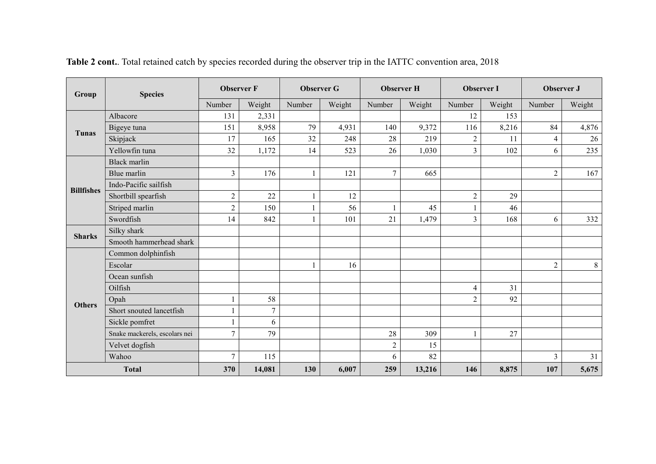| Group             | <b>Species</b>                | <b>Observer F</b> |                | <b>Observer G</b> |        | <b>Observer H</b> |        | <b>Observer I</b> |        | Observer J     |        |
|-------------------|-------------------------------|-------------------|----------------|-------------------|--------|-------------------|--------|-------------------|--------|----------------|--------|
|                   |                               | Number            | Weight         | Number            | Weight | Number            | Weight | Number            | Weight | Number         | Weight |
|                   | Albacore                      | 131               | 2,331          |                   |        |                   |        | 12                | 153    |                |        |
| Tunas             | Bigeye tuna                   | 151               | 8,958          | 79                | 4,931  | 140               | 9,372  | 116               | 8,216  | 84             | 4,876  |
|                   | Skipjack                      | 17                | 165            | 32                | 248    | 28                | 219    | $\overline{2}$    | 11     | $\overline{4}$ | 26     |
|                   | Yellowfin tuna                | 32                | 1,172          | 14                | 523    | 26                | 1,030  | $\overline{3}$    | 102    | 6              | 235    |
|                   | <b>Black marlin</b>           |                   |                |                   |        |                   |        |                   |        |                |        |
|                   | Blue marlin                   | $\overline{3}$    | 176            | $\mathbf{1}$      | 121    | $\overline{7}$    | 665    |                   |        | $\overline{2}$ | 167    |
| <b>Billfishes</b> | Indo-Pacific sailfish         |                   |                |                   |        |                   |        |                   |        |                |        |
|                   | Shortbill spearfish           | $\overline{c}$    | 22             | 1                 | 12     |                   |        | $\mathbf{2}$      | 29     |                |        |
|                   | Striped marlin                | $\overline{2}$    | 150            | $\mathbf{1}$      | 56     |                   | 45     |                   | 46     |                |        |
|                   | Swordfish                     | 14                | 842            | 1                 | 101    | 21                | 1,479  | 3                 | 168    | 6              | 332    |
| <b>Sharks</b>     | Silky shark                   |                   |                |                   |        |                   |        |                   |        |                |        |
|                   | Smooth hammerhead shark       |                   |                |                   |        |                   |        |                   |        |                |        |
|                   | Common dolphinfish            |                   |                |                   |        |                   |        |                   |        |                |        |
|                   | Escolar                       |                   |                | 1                 | 16     |                   |        |                   |        | $\overline{2}$ | 8      |
|                   | Ocean sunfish                 |                   |                |                   |        |                   |        |                   |        |                |        |
|                   | Oilfish                       |                   |                |                   |        |                   |        | 4                 | 31     |                |        |
| <b>Others</b>     | Opah                          |                   | 58             |                   |        |                   |        | $\overline{2}$    | 92     |                |        |
|                   | Short snouted lancetfish      |                   | $\overline{7}$ |                   |        |                   |        |                   |        |                |        |
|                   | Sickle pomfret                |                   | 6              |                   |        |                   |        |                   |        |                |        |
|                   | Snake mackerels, escolars nei | $\overline{7}$    | 79             |                   |        | 28                | 309    |                   | 27     |                |        |
|                   | Velvet dogfish                |                   |                |                   |        | $\sqrt{2}$        | 15     |                   |        |                |        |
|                   | Wahoo                         | $\overline{7}$    | 115            |                   |        | 6                 | 82     |                   |        | 3              | 31     |
|                   | <b>Total</b>                  | 370               | 14,081         | 130               | 6,007  | 259               | 13,216 | 146               | 8,875  | 107            | 5,675  |

Table 2 cont.. Total retained catch by species recorded during the observer trip in the IATTC convention area, 2018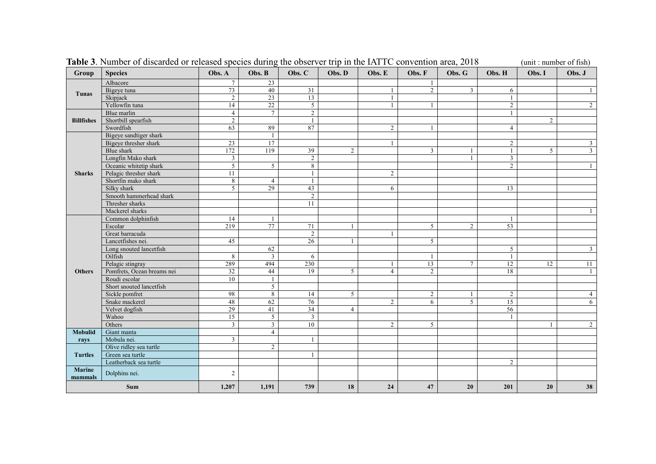| Group                    | <b>Species</b>             | Obs. A           | Obs. B          | Obs. C         | Obs. D         | Obs. E         | Obs. F         | Obs. G          | Obs. H         | Obs. I         | Obs. J         |
|--------------------------|----------------------------|------------------|-----------------|----------------|----------------|----------------|----------------|-----------------|----------------|----------------|----------------|
|                          | Albacore                   | 7                | 23              |                |                |                |                |                 |                |                |                |
|                          | Bigeye tuna                | 73               | 40              | 31             |                | $\mathbf{1}$   | $\overline{2}$ | $\overline{3}$  | 6              |                | 1              |
| Tunas                    | Skipjack                   | 2                | 23              | 13             |                | $\mathbf{1}$   |                |                 |                |                |                |
|                          | Yellowfin tuna             | 14               | 22              | 5              |                | $\mathbf{1}$   | -1             |                 | $\overline{2}$ |                | $\overline{2}$ |
|                          | Blue marlin                | $\overline{4}$   | $7\overline{ }$ | 2              |                |                |                |                 |                |                |                |
| <b>Billfishes</b>        | Shortbill spearfish        | 2                |                 |                |                |                |                |                 |                | $\overline{2}$ |                |
|                          | Swordfish                  | 63               | 89              | 87             |                | $\overline{2}$ |                |                 | $\overline{4}$ |                |                |
|                          | Bigeye sandtiger shark     |                  | $\mathbf{1}$    |                |                |                |                |                 |                |                |                |
|                          | Bigeye thresher shark      | 23               | 17              |                |                | $\mathbf{1}$   |                |                 | $\overline{2}$ |                | $\mathbf{3}$   |
|                          | Blue shark                 | $\overline{172}$ | 119             | 39             | 2              |                | 3              |                 | $\mathbf{1}$   | 5              | $\overline{3}$ |
|                          | Longfin Mako shark         | $\overline{3}$   |                 | $\overline{2}$ |                |                |                | $\mathbf{1}$    | 3              |                |                |
|                          | Oceanic whitetip shark     | 5                | 5               | 8              |                |                |                |                 | $\overline{2}$ |                |                |
| <b>Sharks</b>            | Pelagic thresher shark     | 11               |                 |                |                | $\overline{c}$ |                |                 |                |                |                |
|                          | Shortfin mako shark        | 8                | $\overline{4}$  |                |                |                |                |                 |                |                |                |
|                          | Silky shark                | 5                | 29              | 43             |                | 6              |                |                 | 13             |                |                |
|                          | Smooth hammerhead shark    |                  |                 | $\sqrt{2}$     |                |                |                |                 |                |                |                |
|                          | Thresher sharks            |                  |                 | 11             |                |                |                |                 |                |                |                |
|                          | Mackerel sharks            |                  |                 |                |                |                |                |                 |                |                |                |
|                          | Common dolphinfish         | 14               | $\mathbf{1}$    |                |                |                |                |                 | -1             |                |                |
|                          | Escolar                    | $\overline{219}$ | 77              | 71             | 1              |                | 5              | 2               | 53             |                |                |
|                          | Great barracuda            |                  |                 | 2              |                | $\mathbf{1}$   |                |                 |                |                |                |
|                          | Lancetfishes nei.          | 45               |                 | 26             |                |                | 5              |                 |                |                |                |
|                          | Long snouted lancetfish    |                  | 62              |                |                |                |                |                 | 5              |                | $\mathbf{3}$   |
|                          | Oilfish                    | 8                | $\overline{3}$  | 6              |                |                |                |                 | $\mathbf{1}$   |                |                |
|                          | Pelagic stingray           | 289              | 494             | 230            |                | $\mathbf{1}$   | 13             | $7\overline{ }$ | 12             | 12             | 11             |
| <b>Others</b>            | Pomfrets, Ocean breams nei | 32               | 44              | 19             | 5              | $\overline{4}$ | $\overline{c}$ |                 | 18             |                |                |
|                          | Roudi escolar              | 10               | $\mathbf{1}$    |                |                |                |                |                 |                |                |                |
|                          | Short snouted lancetfish   |                  | $\mathfrak{S}$  |                |                |                |                |                 |                |                |                |
|                          | Sickle pomfret             | 98               | 8               | 14             | 5              |                | 2              | -1              | $\overline{2}$ |                | $\overline{4}$ |
|                          | Snake mackerel             | 48               | 62              | 76             |                | $\overline{c}$ | 6              | 5               | 15             |                | 6              |
|                          | Velvet dogfish             | 29               | 41              | 34             | $\overline{4}$ |                |                |                 | 56             |                |                |
|                          | Wahoo                      | $\overline{15}$  | 5               | 3              |                |                |                |                 |                |                |                |
|                          | Others                     | $\overline{3}$   | $\mathbf{3}$    | 10             |                | $\overline{2}$ | 5              |                 |                |                | $\overline{2}$ |
| <b>Mobulid</b>           | Giant manta                |                  | $\overline{4}$  |                |                |                |                |                 |                |                |                |
| rays                     | Mobula nei.                | $\overline{3}$   |                 |                |                |                |                |                 |                |                |                |
|                          | Olive ridley sea turtle    |                  | $\overline{2}$  |                |                |                |                |                 |                |                |                |
| <b>Turtles</b>           | Green sea turtle           |                  |                 |                |                |                |                |                 |                |                |                |
|                          | Leatherback sea turtle     |                  |                 |                |                |                |                |                 | $\overline{2}$ |                |                |
| <b>Marine</b><br>mammals | Dolphins nei.              | $\overline{2}$   |                 |                |                |                |                |                 |                |                |                |
|                          | Sum                        | 1,207            | 1,191           | 739            | 18             | 24             | 47             | 20              | 201            | 20             | 38             |

**Table 3**. Number of discarded or released species during the observer trip in the IATTC convention area, 2018 (unit : number of fish)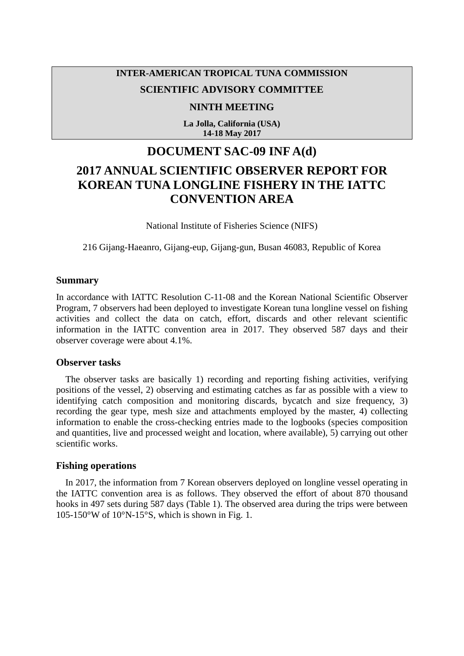### **INTER-AMERICAN TROPICAL TUNA COMMISSION**

### **SCIENTIFIC ADVISORY COMMITTEE**

#### **NINTH MEETING**

**La Jolla, California (USA) 14-18 May 2017**

## **DOCUMENT SAC-09 INF A(d)**

# **2017 ANNUAL SCIENTIFIC OBSERVER REPORT FOR KOREAN TUNA LONGLINE FISHERY IN THE IATTC CONVENTION AREA**

National Institute of Fisheries Science (NIFS)

216 Gijang-Haeanro, Gijang-eup, Gijang-gun, Busan 46083, Republic of Korea

#### **Summary**

In accordance with IATTC Resolution C-11-08 and the Korean National Scientific Observer Program, 7 observers had been deployed to investigate Korean tuna longline vessel on fishing activities and collect the data on catch, effort, discards and other relevant scientific information in the IATTC convention area in 2017. They observed 587 days and their observer coverage were about 4.1%.

#### **Observer tasks**

The observer tasks are basically 1) recording and reporting fishing activities, verifying positions of the vessel, 2) observing and estimating catches as far as possible with a view to identifying catch composition and monitoring discards, bycatch and size frequency, 3) recording the gear type, mesh size and attachments employed by the master, 4) collecting information to enable the cross-checking entries made to the logbooks (species composition and quantities, live and processed weight and location, where available), 5) carrying out other scientific works.

#### **Fishing operations**

In 2017, the information from 7 Korean observers deployed on longline vessel operating in the IATTC convention area is as follows. They observed the effort of about 870 thousand hooks in 497 sets during 587 days (Table 1). The observed area during the trips were between 105-150°W of 10°N-15°S, which is shown in Fig. 1.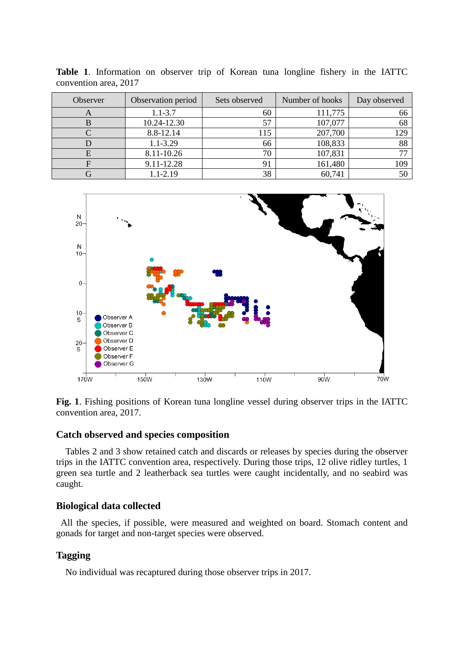| Observer | Observation period | Sets observed | Number of hooks | Day observed |
|----------|--------------------|---------------|-----------------|--------------|
|          | $1.1 - 3.7$        | 60            | 111,775         | 66           |
|          | 10.24-12.30        | 57            | 107,077         | 68           |
|          | 8.8-12.14          | 115           | 207,700         | 129          |
|          | $1.1 - 3.29$       | 66            | 108,833         | 88           |
|          | 8.11-10.26         | 70            | 107,831         |              |
|          | 9.11-12.28         | 91            | 161,480         | 109          |
|          | $1.1 - 2.19$       | 38            | 60,741          |              |

**Table 1**. Information on observer trip of Korean tuna longline fishery in the IATTC convention area, 2017



**Fig. 1**. Fishing positions of Korean tuna longline vessel during observer trips in the IATTC convention area, 2017.

#### **Catch observed and species composition**

Tables 2 and 3 show retained catch and discards or releases by species during the observer trips in the IATTC convention area, respectively. During those trips, 12 olive ridley turtles, 1 green sea turtle and 2 leatherback sea turtles were caught incidentally, and no seabird was caught.

#### **Biological data collected**

All the species, if possible, were measured and weighted on board. Stomach content and gonads for target and non-target species were observed.

#### **Tagging**

No individual was recaptured during those observer trips in 2017.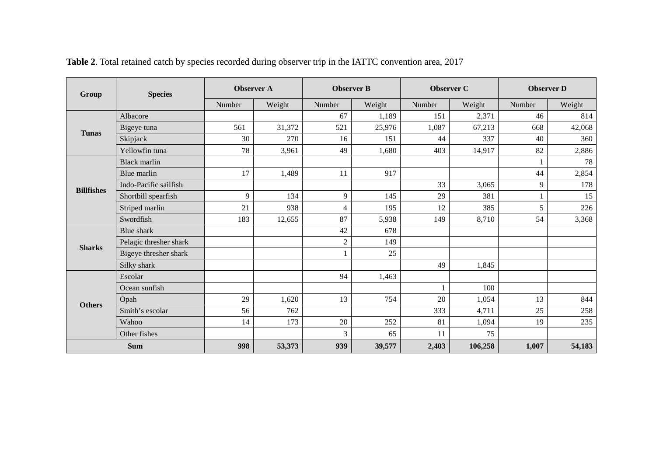| Group             | <b>Species</b>         | <b>Observer A</b> |        | <b>Observer B</b> |        | <b>Observer C</b> |         | <b>Observer D</b> |        |
|-------------------|------------------------|-------------------|--------|-------------------|--------|-------------------|---------|-------------------|--------|
|                   |                        | Number            | Weight | Number            | Weight | Number            | Weight  | Number            | Weight |
| <b>Tunas</b>      | Albacore               |                   |        | 67                | 1,189  | 151               | 2,371   | 46                | 814    |
|                   | Bigeye tuna            | 561               | 31,372 | 521               | 25,976 | 1,087             | 67,213  | 668               | 42,068 |
|                   | Skipjack               | 30                | 270    | 16                | 151    | 44                | 337     | 40                | 360    |
|                   | Yellowfin tuna         | 78                | 3,961  | 49                | 1,680  | 403               | 14,917  | 82                | 2,886  |
|                   | <b>Black marlin</b>    |                   |        |                   |        |                   |         |                   | 78     |
|                   | Blue marlin            | 17                | 1,489  | 11                | 917    |                   |         | 44                | 2,854  |
| <b>Billfishes</b> | Indo-Pacific sailfish  |                   |        |                   |        | 33                | 3,065   | 9                 | 178    |
|                   | Shortbill spearfish    | 9                 | 134    | 9                 | 145    | 29                | 381     |                   | 15     |
|                   | Striped marlin         | 21                | 938    | 4                 | 195    | 12                | 385     | 5                 | 226    |
|                   | Swordfish              | 183               | 12,655 | 87                | 5,938  | 149               | 8,710   | 54                | 3,368  |
|                   | <b>Blue</b> shark      |                   |        | 42                | 678    |                   |         |                   |        |
| <b>Sharks</b>     | Pelagic thresher shark |                   |        | $\overline{2}$    | 149    |                   |         |                   |        |
|                   | Bigeye thresher shark  |                   |        |                   | 25     |                   |         |                   |        |
|                   | Silky shark            |                   |        |                   |        | 49                | 1,845   |                   |        |
| <b>Others</b>     | Escolar                |                   |        | 94                | 1,463  |                   |         |                   |        |
|                   | Ocean sunfish          |                   |        |                   |        |                   | 100     |                   |        |
|                   | Opah                   | 29                | 1,620  | 13                | 754    | 20                | 1,054   | 13                | 844    |
|                   | Smith's escolar        | 56                | 762    |                   |        | 333               | 4,711   | 25                | 258    |
|                   | Wahoo                  | 14                | 173    | 20                | 252    | 81                | 1,094   | 19                | 235    |
|                   | Other fishes           |                   |        | 3                 | 65     | 11                | 75      |                   |        |
| <b>Sum</b>        |                        | 998               | 53,373 | 939               | 39,577 | 2,403             | 106,258 | 1,007             | 54,183 |

**Table 2**. Total retained catch by species recorded during observer trip in the IATTC convention area, 2017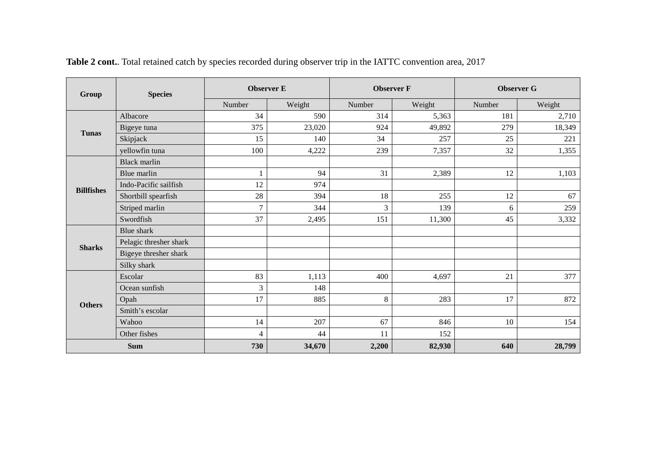| Group             | <b>Species</b>         | <b>Observer E</b> |        | <b>Observer F</b> |        | <b>Observer G</b> |        |
|-------------------|------------------------|-------------------|--------|-------------------|--------|-------------------|--------|
|                   |                        | Number            | Weight | Number            | Weight | Number            | Weight |
| <b>Tunas</b>      | Albacore               | 34                | 590    | 314               | 5,363  | 181               | 2,710  |
|                   | Bigeye tuna            | 375               | 23,020 | 924               | 49,892 | 279               | 18,349 |
|                   | Skipjack               | 15                | 140    | 34                | 257    | 25                | 221    |
|                   | yellowfin tuna         | 100               | 4,222  | 239               | 7,357  | 32                | 1,355  |
|                   | <b>Black marlin</b>    |                   |        |                   |        |                   |        |
|                   | Blue marlin            | 1                 | 94     | 31                | 2,389  | 12                | 1,103  |
| <b>Billfishes</b> | Indo-Pacific sailfish  | 12                | 974    |                   |        |                   |        |
|                   | Shortbill spearfish    | 28                | 394    | 18                | 255    | 12                | 67     |
|                   | Striped marlin         | $\overline{7}$    | 344    | 3                 | 139    | 6                 | 259    |
|                   | Swordfish              | 37                | 2,495  | 151               | 11,300 | 45                | 3,332  |
|                   | <b>Blue</b> shark      |                   |        |                   |        |                   |        |
| <b>Sharks</b>     | Pelagic thresher shark |                   |        |                   |        |                   |        |
|                   | Bigeye thresher shark  |                   |        |                   |        |                   |        |
|                   | Silky shark            |                   |        |                   |        |                   |        |
|                   | Escolar                | 83                | 1,113  | 400               | 4,697  | 21                | 377    |
| <b>Others</b>     | Ocean sunfish          | $\overline{3}$    | 148    |                   |        |                   |        |
|                   | Opah                   | 17                | 885    | $\,8\,$           | 283    | 17                | 872    |
|                   | Smith's escolar        |                   |        |                   |        |                   |        |
|                   | Wahoo                  | 14                | 207    | 67                | 846    | 10                | 154    |
|                   | Other fishes           | 4                 | 44     | 11                | 152    |                   |        |
| <b>Sum</b>        |                        | 730               | 34,670 | 2,200             | 82,930 | 640               | 28,799 |

**Table 2 cont.**. Total retained catch by species recorded during observer trip in the IATTC convention area, 2017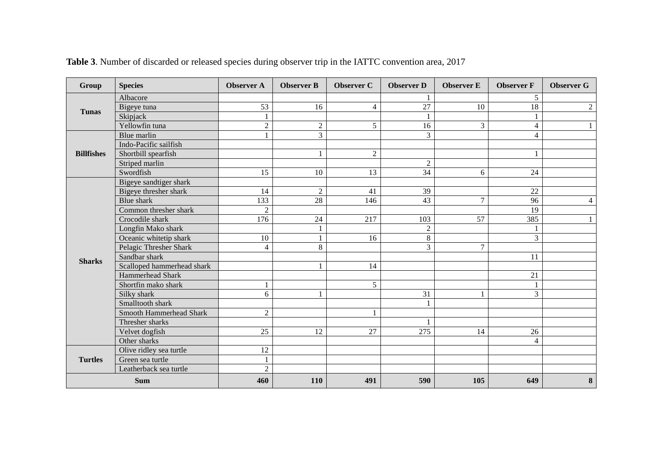| Group             | <b>Species</b>             | <b>Observer A</b> | <b>Observer B</b> | <b>Observer C</b> | <b>Observer D</b> | <b>Observer E</b> | <b>Observer F</b>       | <b>Observer G</b> |
|-------------------|----------------------------|-------------------|-------------------|-------------------|-------------------|-------------------|-------------------------|-------------------|
| <b>Tunas</b>      | Albacore                   |                   |                   |                   |                   |                   | 5                       |                   |
|                   | Bigeye tuna                | 53                | 16                | $\overline{4}$    | 27                | 10                | 18                      | $\overline{2}$    |
|                   | Skipjack                   | $\mathbf{1}$      |                   |                   |                   |                   | $\mathbf{1}$            |                   |
|                   | Yellowfin tuna             | $\overline{2}$    | $\overline{2}$    | 5                 | 16                | $\overline{3}$    | $\overline{4}$          |                   |
|                   | Blue marlin                | $\mathbf{1}$      | 3                 |                   | 3                 |                   | $\overline{\mathbf{4}}$ |                   |
|                   | Indo-Pacific sailfish      |                   |                   |                   |                   |                   |                         |                   |
| <b>Billfishes</b> | Shortbill spearfish        |                   | 1                 | $\overline{2}$    |                   |                   | 1                       |                   |
|                   | Striped marlin             |                   |                   |                   | $\overline{c}$    |                   |                         |                   |
|                   | Swordfish                  | 15                | 10                | 13                | 34                | 6                 | 24                      |                   |
|                   | Bigeye sandtiger shark     |                   |                   |                   |                   |                   |                         |                   |
|                   | Bigeye thresher shark      | 14                | $\overline{c}$    | 41                | 39                |                   | 22                      |                   |
|                   | <b>Blue</b> shark          | 133               | 28                | 146               | 43                | $\overline{7}$    | 96                      | 4                 |
|                   | Common thresher shark      | $\overline{2}$    |                   |                   |                   |                   | 19                      |                   |
|                   | Crocodile shark            | 176               | 24                | 217               | 103               | 57                | 385                     |                   |
|                   | Longfin Mako shark         |                   | 1                 |                   | $\sqrt{2}$        |                   | 1                       |                   |
|                   | Oceanic whitetip shark     | 10                | $\mathbf{1}$      | 16                | 8                 |                   | 3                       |                   |
|                   | Pelagic Thresher Shark     | 4                 | 8                 |                   | 3                 | $\tau$            |                         |                   |
|                   | Sandbar shark              |                   |                   |                   |                   |                   | 11                      |                   |
| <b>Sharks</b>     | Scalloped hammerhead shark |                   | 1                 | 14                |                   |                   |                         |                   |
|                   | <b>Hammerhead Shark</b>    |                   |                   |                   |                   |                   | 21                      |                   |
|                   | Shortfin mako shark        | $\mathbf{1}$      |                   | 5                 |                   |                   | $\mathbf{1}$            |                   |
|                   | Silky shark                | 6                 |                   |                   | 31                |                   | 3                       |                   |
|                   | Smalltooth shark           |                   |                   |                   |                   |                   |                         |                   |
|                   | Smooth Hammerhead Shark    | $\overline{2}$    |                   |                   |                   |                   |                         |                   |
|                   | Thresher sharks            |                   |                   |                   |                   |                   |                         |                   |
|                   | Velvet dogfish             | 25                | 12                | 27                | 275               | 14                | 26                      |                   |
|                   | Other sharks               |                   |                   |                   |                   |                   | $\overline{4}$          |                   |
|                   | Olive ridley sea turtle    | 12                |                   |                   |                   |                   |                         |                   |
| <b>Turtles</b>    | Green sea turtle           | $\mathbf{1}$      |                   |                   |                   |                   |                         |                   |
|                   | Leatherback sea turtle     | $\overline{2}$    |                   |                   |                   |                   |                         |                   |
| <b>Sum</b>        |                            | 460               | 110               | 491               | 590               | 105               | 649                     | 8                 |

**Table 3**. Number of discarded or released species during observer trip in the IATTC convention area, 2017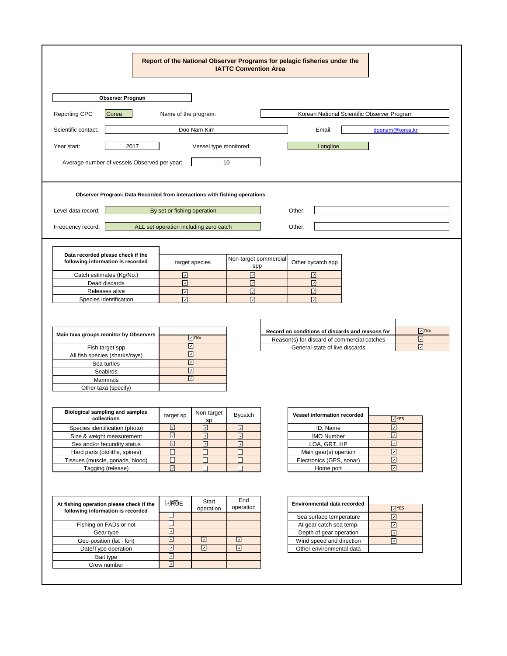|                                                                                               |                                         | <b>IATTC Convention Area</b>        | Report of the National Observer Programs for pelagic fisheries under the |                         |  |
|-----------------------------------------------------------------------------------------------|-----------------------------------------|-------------------------------------|--------------------------------------------------------------------------|-------------------------|--|
| <b>Observer Program</b>                                                                       |                                         |                                     |                                                                          |                         |  |
| Reporting CPC<br>Korean National Scientific Observer Program<br>Corea<br>Name of the program: |                                         |                                     |                                                                          |                         |  |
| Scientific contact:                                                                           | Doo Nam Kim                             |                                     | Email:                                                                   | doonam@korea.kr         |  |
|                                                                                               |                                         |                                     |                                                                          |                         |  |
| 2017<br>Year start:                                                                           | Vessel type monitored:                  |                                     | Longline                                                                 |                         |  |
| Average number of vessels Observed per year:                                                  |                                         | 10                                  |                                                                          |                         |  |
| Observer Program: Data Recorded from interactions with fishing operations                     |                                         |                                     |                                                                          |                         |  |
| Level data record:                                                                            | By set or fishing operation             |                                     | Other:                                                                   |                         |  |
| Frequency record:                                                                             | ALL set operation including zero catch  |                                     | Other:                                                                   |                         |  |
|                                                                                               |                                         |                                     |                                                                          |                         |  |
|                                                                                               |                                         |                                     |                                                                          |                         |  |
| Data recorded please check if the<br>following information is recorded                        | target species                          | Non-target commercial               | Other bycatch spp                                                        |                         |  |
| Catch estimates (Kg/No.)                                                                      | $\boxed{\text{ }}\square$               | spp<br>☑                            | ☑                                                                        |                         |  |
| Dead discards                                                                                 | $\boxed{\textcolor{blue}{\mathcal{L}}}$ | ☑                                   | ☑                                                                        |                         |  |
| Releases alive                                                                                | ☑                                       | ⊡                                   | ⊡                                                                        |                         |  |
|                                                                                               |                                         |                                     |                                                                          |                         |  |
|                                                                                               |                                         |                                     |                                                                          |                         |  |
|                                                                                               |                                         |                                     |                                                                          |                         |  |
|                                                                                               |                                         |                                     | Record on conditions of discards and reasons for                         | $\Box$ YES              |  |
| Main taxa groups monitor by Observers                                                         | $\sqrt{YES}$                            |                                     | Reason(s) for discard of commercial catches                              | ☑                       |  |
| Fish target spp                                                                               | ☑                                       |                                     | General state of live discards                                           | $\boxed{\vee}$          |  |
| All fish species (sharks/rays)                                                                | ☑                                       |                                     |                                                                          |                         |  |
| Sea turtles                                                                                   | ☑<br>☑                                  |                                     |                                                                          |                         |  |
| Seabirds<br>Mammals                                                                           | ☑                                       |                                     |                                                                          |                         |  |
| Other taxa (specify)                                                                          |                                         |                                     |                                                                          |                         |  |
|                                                                                               |                                         |                                     |                                                                          |                         |  |
|                                                                                               |                                         |                                     |                                                                          |                         |  |
| <b>Biological sampling and samples</b><br>collections                                         | Non-target<br>target sp<br>sp           | <b>Bycatch</b>                      | <b>Vessel information recorded</b>                                       | $\Box$ YES              |  |
| Species identification (photo)                                                                | $\boxed{\mathbf{v}}$<br>⊡               | $\boxed{\omega}$                    | ID, Name                                                                 | $\boxed{\mathbf{z}}$    |  |
| Size & weight measurement                                                                     | $\boxed{\omega}$<br>$\boxed{\text{ }}$  | $\boxdot$                           | <b>IMO Number</b>                                                        | $\boxed{\mathbf{z}}$    |  |
| Sex and/or fecundity status                                                                   | $\boxed{5}$<br>$\boxed{\text{ }}$       | $\boxdot$                           | LOA, GRT, HP                                                             | $\boxed{\mathbf{z}}$    |  |
| Hard parts (otoliths, spines)                                                                 | $\Box$<br>□                             | □                                   | Main gear(s) opertion                                                    | $\boxed{\mathbf{v}}$    |  |
| Tissues (muscle, gonads, blood)                                                               | $\Box$<br>□                             | $\Box$                              | Electronics (GPS, sonar)                                                 | $\boxdot$               |  |
| Tagging (release)                                                                             | $\boxed{\text{v}}$<br>$\Box$            | □                                   | Home port                                                                | $\boxed{\text{2}}$      |  |
|                                                                                               |                                         |                                     |                                                                          |                         |  |
|                                                                                               |                                         |                                     |                                                                          |                         |  |
| At fishing operation please check if the                                                      | Start<br>⊡к€е                           | End                                 | Environmental data recorded                                              |                         |  |
| following information is recorded                                                             | operation                               | operation                           |                                                                          | $\n  YES\n$             |  |
|                                                                                               | □                                       |                                     | Sea surface temperature                                                  | ⊡                       |  |
| Fishing on FADs or not                                                                        | □                                       |                                     | At gear catch sea temp.                                                  | $\overline{\mathbb{L}}$ |  |
| Gear type                                                                                     | ⊡                                       |                                     | Depth of gear operation                                                  | $\boxed{\mathcal{S}}$   |  |
| Geo-position (lat - lon)                                                                      | ⊡<br>⊡                                  | ☑                                   | Wind speed and direction                                                 | $\boxed{\mathcal{S}}$   |  |
| Date/Type operation<br>Bait type                                                              | ⊡<br>⊡<br>⊡                             | $\boxed{\underline{\triangledown}}$ | Other environmental data                                                 |                         |  |